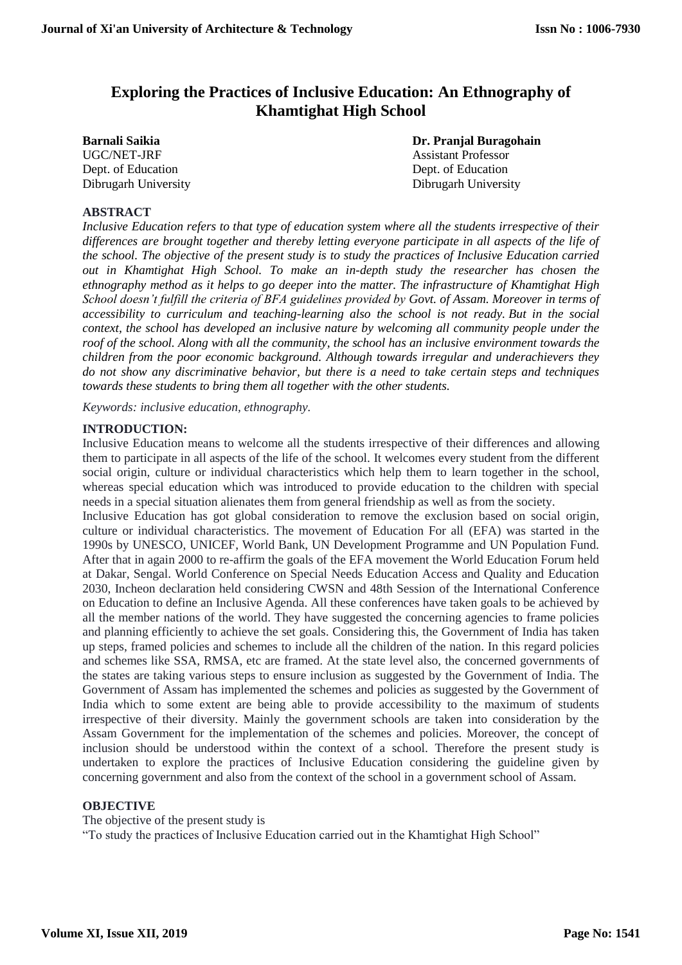# **Exploring the Practices of Inclusive Education: An Ethnography of Khamtighat High School**

UGC/NET-JRF Assistant Professor Dept. of Education Dept. of Education

**Barnali Saikia Dr. Pranjal Buragohain** Dibrugarh University Dibrugarh University

#### **ABSTRACT**

*Inclusive Education refers to that type of education system where all the students irrespective of their differences are brought together and thereby letting everyone participate in all aspects of the life of the school. The objective of the present study is to study the practices of Inclusive Education carried out in Khamtighat High School. To make an in-depth study the researcher has chosen the ethnography method as it helps to go deeper into the matter. The infrastructure of Khamtighat High School doesn't fulfill the criteria of BFA guidelines provided by Govt. of Assam. Moreover in terms of accessibility to curriculum and teaching-learning also the school is not ready. But in the social context, the school has developed an inclusive nature by welcoming all community people under the roof of the school. Along with all the community, the school has an inclusive environment towards the children from the poor economic background. Although towards irregular and underachievers they do not show any discriminative behavior, but there is a need to take certain steps and techniques towards these students to bring them all together with the other students.*

*Keywords: inclusive education, ethnography.*

#### **INTRODUCTION:**

Inclusive Education means to welcome all the students irrespective of their differences and allowing them to participate in all aspects of the life of the school. It welcomes every student from the different social origin, culture or individual characteristics which help them to learn together in the school, whereas special education which was introduced to provide education to the children with special needs in a special situation alienates them from general friendship as well as from the society.

Inclusive Education has got global consideration to remove the exclusion based on social origin, culture or individual characteristics. The movement of Education For all (EFA) was started in the 1990s by UNESCO, UNICEF, World Bank, UN Development Programme and UN Population Fund. After that in again 2000 to re-affirm the goals of the EFA movement the World Education Forum held at Dakar, Sengal. World Conference on Special Needs Education Access and Quality and Education 2030, Incheon declaration held considering CWSN and 48th Session of the International Conference on Education to define an Inclusive Agenda. All these conferences have taken goals to be achieved by all the member nations of the world. They have suggested the concerning agencies to frame policies and planning efficiently to achieve the set goals. Considering this, the Government of India has taken up steps, framed policies and schemes to include all the children of the nation. In this regard policies and schemes like SSA, RMSA, etc are framed. At the state level also, the concerned governments of the states are taking various steps to ensure inclusion as suggested by the Government of India. The Government of Assam has implemented the schemes and policies as suggested by the Government of India which to some extent are being able to provide accessibility to the maximum of students irrespective of their diversity. Mainly the government schools are taken into consideration by the Assam Government for the implementation of the schemes and policies. Moreover, the concept of inclusion should be understood within the context of a school. Therefore the present study is undertaken to explore the practices of Inclusive Education considering the guideline given by concerning government and also from the context of the school in a government school of Assam.

#### **OBJECTIVE**

The objective of the present study is "To study the practices of Inclusive Education carried out in the Khamtighat High School"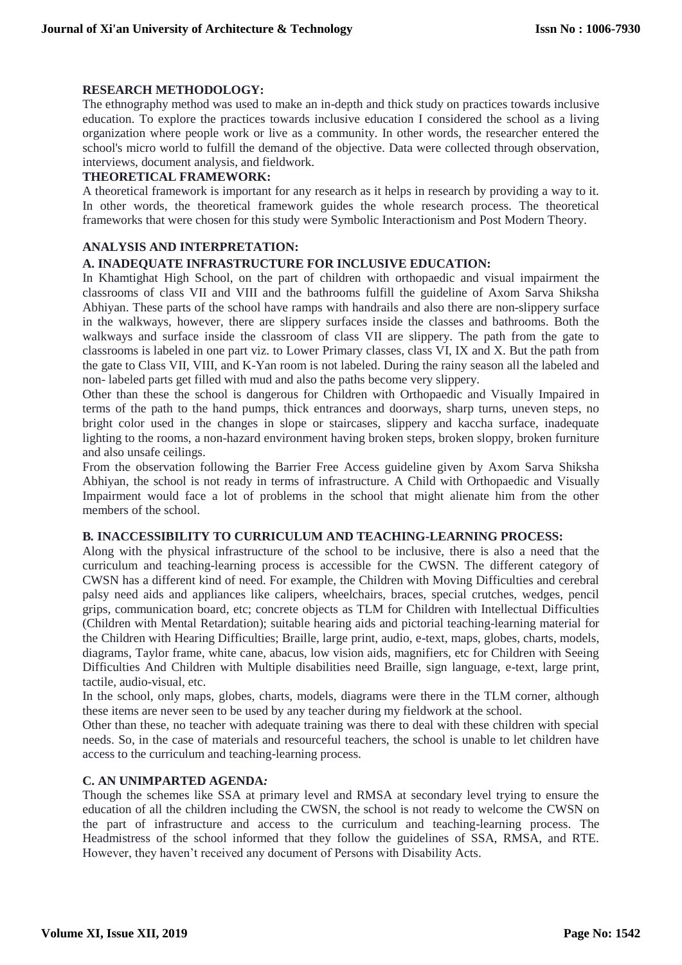#### **RESEARCH METHODOLOGY:**

The ethnography method was used to make an in-depth and thick study on practices towards inclusive education. To explore the practices towards inclusive education I considered the school as a living organization where people work or live as a community. In other words, the researcher entered the school's micro world to fulfill the demand of the objective. Data were collected through observation, interviews, document analysis, and fieldwork.

#### **THEORETICAL FRAMEWORK:**

A theoretical framework is important for any research as it helps in research by providing a way to it. In other words, the theoretical framework guides the whole research process. The theoretical frameworks that were chosen for this study were Symbolic Interactionism and Post Modern Theory.

# **ANALYSIS AND INTERPRETATION:**

## **A. INADEQUATE INFRASTRUCTURE FOR INCLUSIVE EDUCATION:**

In Khamtighat High School, on the part of children with orthopaedic and visual impairment the classrooms of class VII and VIII and the bathrooms fulfill the guideline of Axom Sarva Shiksha Abhiyan. These parts of the school have ramps with handrails and also there are non-slippery surface in the walkways, however, there are slippery surfaces inside the classes and bathrooms. Both the walkways and surface inside the classroom of class VII are slippery. The path from the gate to classrooms is labeled in one part viz. to Lower Primary classes, class VI, IX and X. But the path from the gate to Class VII, VIII, and K-Yan room is not labeled. During the rainy season all the labeled and non- labeled parts get filled with mud and also the paths become very slippery.

Other than these the school is dangerous for Children with Orthopaedic and Visually Impaired in terms of the path to the hand pumps, thick entrances and doorways, sharp turns, uneven steps, no bright color used in the changes in slope or staircases, slippery and kaccha surface, inadequate lighting to the rooms, a non-hazard environment having broken steps, broken sloppy, broken furniture and also unsafe ceilings.

From the observation following the Barrier Free Access guideline given by Axom Sarva Shiksha Abhiyan, the school is not ready in terms of infrastructure. A Child with Orthopaedic and Visually Impairment would face a lot of problems in the school that might alienate him from the other members of the school.

## **B***.* **INACCESSIBILITY TO CURRICULUM AND TEACHING-LEARNING PROCESS:**

Along with the physical infrastructure of the school to be inclusive, there is also a need that the curriculum and teaching-learning process is accessible for the CWSN. The different category of CWSN has a different kind of need. For example, the Children with Moving Difficulties and cerebral palsy need aids and appliances like calipers, wheelchairs, braces, special crutches, wedges, pencil grips, communication board, etc; concrete objects as TLM for Children with Intellectual Difficulties (Children with Mental Retardation); suitable hearing aids and pictorial teaching-learning material for the Children with Hearing Difficulties; Braille, large print, audio, e-text, maps, globes, charts, models, diagrams, Taylor frame, white cane, abacus, low vision aids, magnifiers, etc for Children with Seeing Difficulties And Children with Multiple disabilities need Braille, sign language, e-text, large print, tactile, audio-visual, etc.

In the school, only maps, globes, charts, models, diagrams were there in the TLM corner, although these items are never seen to be used by any teacher during my fieldwork at the school.

Other than these, no teacher with adequate training was there to deal with these children with special needs. So, in the case of materials and resourceful teachers, the school is unable to let children have access to the curriculum and teaching-learning process.

#### **C. AN UNIMPARTED AGENDA***:*

Though the schemes like SSA at primary level and RMSA at secondary level trying to ensure the education of all the children including the CWSN, the school is not ready to welcome the CWSN on the part of infrastructure and access to the curriculum and teaching-learning process. The Headmistress of the school informed that they follow the guidelines of SSA, RMSA, and RTE. However, they haven't received any document of Persons with Disability Acts.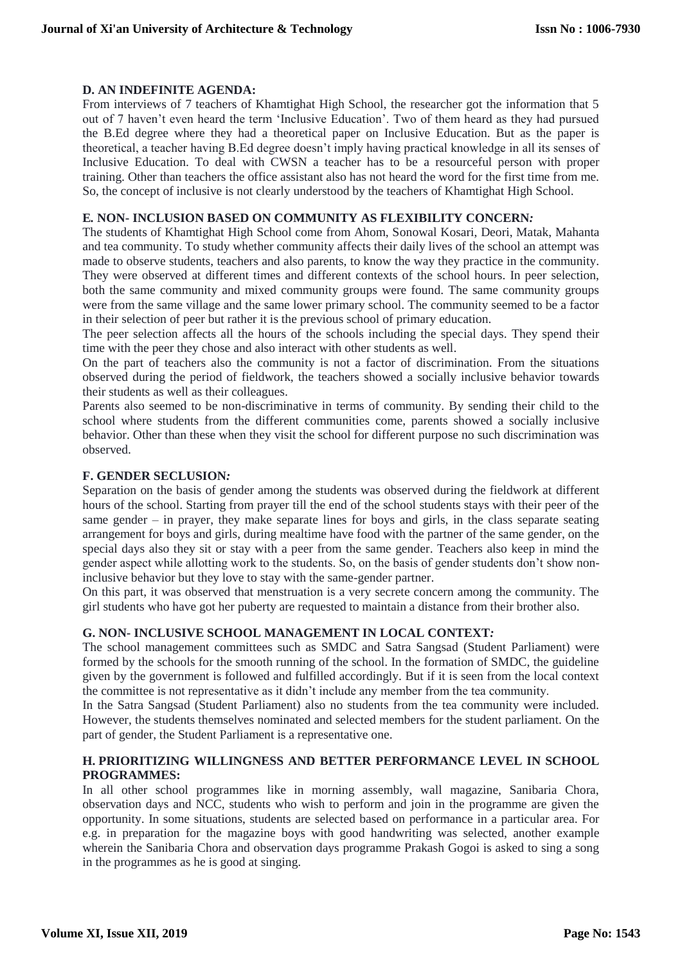#### **D. AN INDEFINITE AGENDA:**

From interviews of 7 teachers of Khamtighat High School, the researcher got the information that 5 out of 7 haven't even heard the term 'Inclusive Education'. Two of them heard as they had pursued the B.Ed degree where they had a theoretical paper on Inclusive Education. But as the paper is theoretical, a teacher having B.Ed degree doesn't imply having practical knowledge in all its senses of Inclusive Education. To deal with CWSN a teacher has to be a resourceful person with proper training. Other than teachers the office assistant also has not heard the word for the first time from me. So, the concept of inclusive is not clearly understood by the teachers of Khamtighat High School.

#### **E***.* **NON- INCLUSION BASED ON COMMUNITY AS FLEXIBILITY CONCERN***:*

The students of Khamtighat High School come from Ahom, Sonowal Kosari, Deori, Matak, Mahanta and tea community. To study whether community affects their daily lives of the school an attempt was made to observe students, teachers and also parents, to know the way they practice in the community. They were observed at different times and different contexts of the school hours. In peer selection, both the same community and mixed community groups were found. The same community groups were from the same village and the same lower primary school. The community seemed to be a factor in their selection of peer but rather it is the previous school of primary education.

The peer selection affects all the hours of the schools including the special days. They spend their time with the peer they chose and also interact with other students as well.

On the part of teachers also the community is not a factor of discrimination. From the situations observed during the period of fieldwork, the teachers showed a socially inclusive behavior towards their students as well as their colleagues.

Parents also seemed to be non-discriminative in terms of community. By sending their child to the school where students from the different communities come, parents showed a socially inclusive behavior. Other than these when they visit the school for different purpose no such discrimination was observed.

#### **F. GENDER SECLUSION***:*

Separation on the basis of gender among the students was observed during the fieldwork at different hours of the school. Starting from prayer till the end of the school students stays with their peer of the same gender – in prayer, they make separate lines for boys and girls, in the class separate seating arrangement for boys and girls, during mealtime have food with the partner of the same gender, on the special days also they sit or stay with a peer from the same gender. Teachers also keep in mind the gender aspect while allotting work to the students. So, on the basis of gender students don't show noninclusive behavior but they love to stay with the same-gender partner.

On this part, it was observed that menstruation is a very secrete concern among the community. The girl students who have got her puberty are requested to maintain a distance from their brother also.

# **G. NON- INCLUSIVE SCHOOL MANAGEMENT IN LOCAL CONTEXT***:*

The school management committees such as SMDC and Satra Sangsad (Student Parliament) were formed by the schools for the smooth running of the school. In the formation of SMDC, the guideline given by the government is followed and fulfilled accordingly. But if it is seen from the local context the committee is not representative as it didn't include any member from the tea community.

In the Satra Sangsad (Student Parliament) also no students from the tea community were included. However, the students themselves nominated and selected members for the student parliament. On the part of gender, the Student Parliament is a representative one.

#### **H. PRIORITIZING WILLINGNESS AND BETTER PERFORMANCE LEVEL IN SCHOOL PROGRAMMES:**

In all other school programmes like in morning assembly, wall magazine, Sanibaria Chora, observation days and NCC, students who wish to perform and join in the programme are given the opportunity. In some situations, students are selected based on performance in a particular area. For e.g. in preparation for the magazine boys with good handwriting was selected, another example wherein the Sanibaria Chora and observation days programme Prakash Gogoi is asked to sing a song in the programmes as he is good at singing.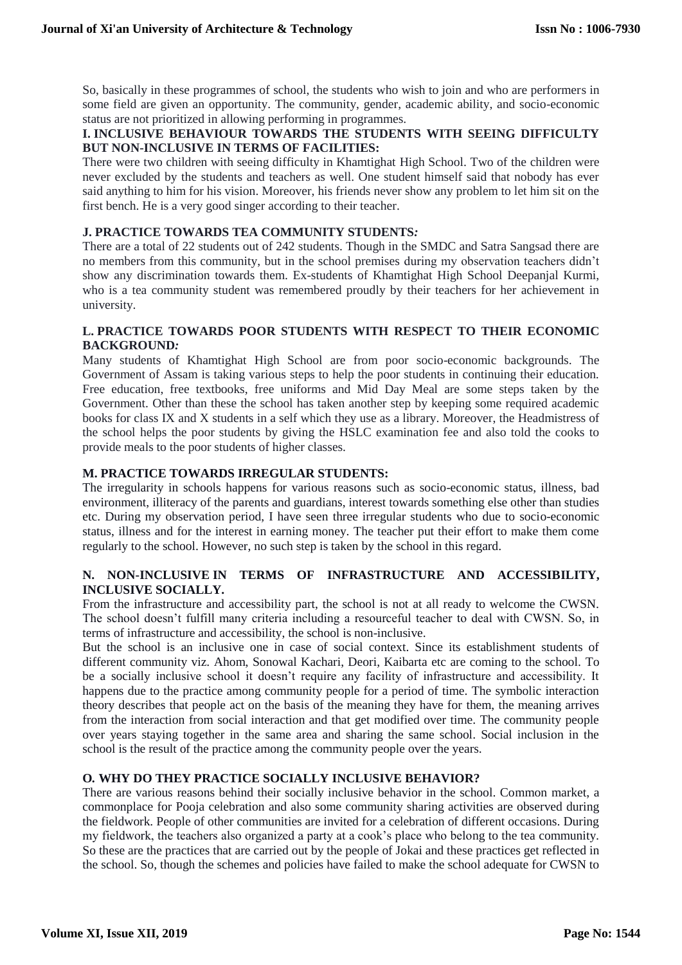So, basically in these programmes of school, the students who wish to join and who are performers in some field are given an opportunity. The community, gender, academic ability, and socio-economic status are not prioritized in allowing performing in programmes.

## **I. INCLUSIVE BEHAVIOUR TOWARDS THE STUDENTS WITH SEEING DIFFICULTY BUT NON-INCLUSIVE IN TERMS OF FACILITIES:**

There were two children with seeing difficulty in Khamtighat High School. Two of the children were never excluded by the students and teachers as well. One student himself said that nobody has ever said anything to him for his vision. Moreover, his friends never show any problem to let him sit on the first bench. He is a very good singer according to their teacher.

# **J. PRACTICE TOWARDS TEA COMMUNITY STUDENTS***:*

There are a total of 22 students out of 242 students. Though in the SMDC and Satra Sangsad there are no members from this community, but in the school premises during my observation teachers didn't show any discrimination towards them. Ex-students of Khamtighat High School Deepanjal Kurmi, who is a tea community student was remembered proudly by their teachers for her achievement in university.

## **L. PRACTICE TOWARDS POOR STUDENTS WITH RESPECT TO THEIR ECONOMIC BACKGROUND***:*

Many students of Khamtighat High School are from poor socio-economic backgrounds. The Government of Assam is taking various steps to help the poor students in continuing their education. Free education, free textbooks, free uniforms and Mid Day Meal are some steps taken by the Government. Other than these the school has taken another step by keeping some required academic books for class IX and X students in a self which they use as a library. Moreover, the Headmistress of the school helps the poor students by giving the HSLC examination fee and also told the cooks to provide meals to the poor students of higher classes.

## **M. PRACTICE TOWARDS IRREGULAR STUDENTS:**

The irregularity in schools happens for various reasons such as socio-economic status, illness, bad environment, illiteracy of the parents and guardians, interest towards something else other than studies etc. During my observation period, I have seen three irregular students who due to socio-economic status, illness and for the interest in earning money. The teacher put their effort to make them come regularly to the school. However, no such step is taken by the school in this regard.

## **N. NON-INCLUSIVE IN TERMS OF INFRASTRUCTURE AND ACCESSIBILITY, INCLUSIVE SOCIALLY.**

From the infrastructure and accessibility part, the school is not at all ready to welcome the CWSN. The school doesn't fulfill many criteria including a resourceful teacher to deal with CWSN. So, in terms of infrastructure and accessibility, the school is non-inclusive.

But the school is an inclusive one in case of social context. Since its establishment students of different community viz. Ahom, Sonowal Kachari, Deori, Kaibarta etc are coming to the school. To be a socially inclusive school it doesn't require any facility of infrastructure and accessibility. It happens due to the practice among community people for a period of time. The symbolic interaction theory describes that people act on the basis of the meaning they have for them, the meaning arrives from the interaction from social interaction and that get modified over time. The community people over years staying together in the same area and sharing the same school. Social inclusion in the school is the result of the practice among the community people over the years.

#### **O***.* **WHY DO THEY PRACTICE SOCIALLY INCLUSIVE BEHAVIOR?**

There are various reasons behind their socially inclusive behavior in the school. Common market, a commonplace for Pooja celebration and also some community sharing activities are observed during the fieldwork. People of other communities are invited for a celebration of different occasions. During my fieldwork, the teachers also organized a party at a cook's place who belong to the tea community. So these are the practices that are carried out by the people of Jokai and these practices get reflected in the school. So, though the schemes and policies have failed to make the school adequate for CWSN to